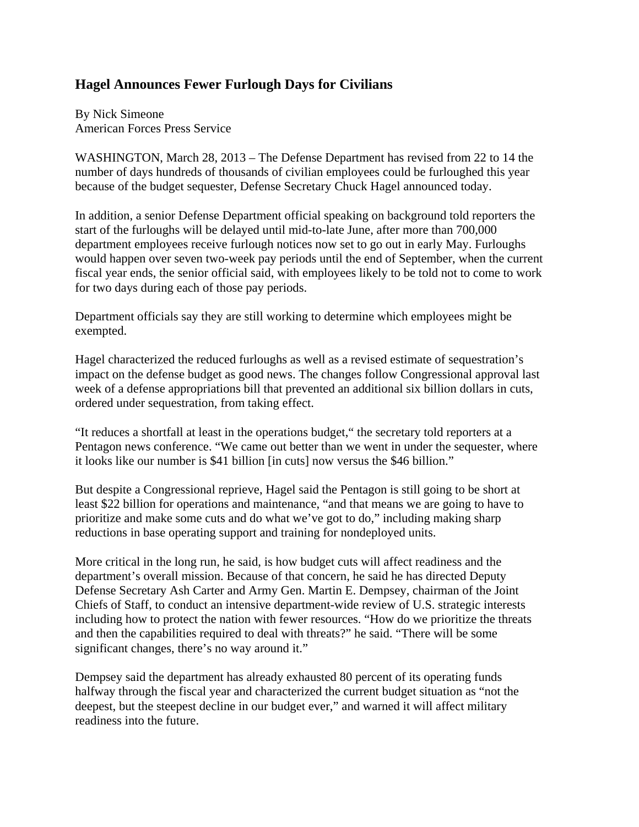## **Hagel Announces Fewer Furlough Days for Civilians**

By Nick Simeone American Forces Press Service

WASHINGTON, March 28, 2013 – The Defense Department has revised from 22 to 14 the number of days hundreds of thousands of civilian employees could be furloughed this year because of the budget sequester, Defense Secretary Chuck Hagel announced today.

In addition, a senior Defense Department official speaking on background told reporters the start of the furloughs will be delayed until mid-to-late June, after more than 700,000 department employees receive furlough notices now set to go out in early May. Furloughs would happen over seven two-week pay periods until the end of September, when the current fiscal year ends, the senior official said, with employees likely to be told not to come to work for two days during each of those pay periods.

Department officials say they are still working to determine which employees might be exempted.

Hagel characterized the reduced furloughs as well as a revised estimate of sequestration's impact on the defense budget as good news. The changes follow Congressional approval last week of a defense appropriations bill that prevented an additional six billion dollars in cuts, ordered under sequestration, from taking effect.

"It reduces a shortfall at least in the operations budget," the secretary told reporters at a Pentagon news conference. "We came out better than we went in under the sequester, where it looks like our number is \$41 billion [in cuts] now versus the \$46 billion."

But despite a Congressional reprieve, Hagel said the Pentagon is still going to be short at least \$22 billion for operations and maintenance, "and that means we are going to have to prioritize and make some cuts and do what we've got to do," including making sharp reductions in base operating support and training for nondeployed units.

More critical in the long run, he said, is how budget cuts will affect readiness and the department's overall mission. Because of that concern, he said he has directed Deputy Defense Secretary Ash Carter and Army Gen. Martin E. Dempsey, chairman of the Joint Chiefs of Staff, to conduct an intensive department-wide review of U.S. strategic interests including how to protect the nation with fewer resources. "How do we prioritize the threats and then the capabilities required to deal with threats?" he said. "There will be some significant changes, there's no way around it."

Dempsey said the department has already exhausted 80 percent of its operating funds halfway through the fiscal year and characterized the current budget situation as "not the deepest, but the steepest decline in our budget ever," and warned it will affect military readiness into the future.